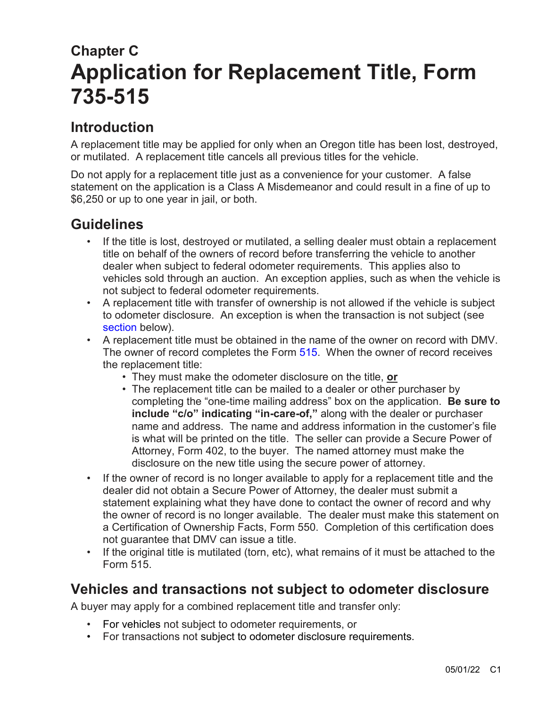# **Chapter C Application for Replacement Title, Form 735-515**

## **Introduction**

A replacement title may be applied for only when an Oregon title has been lost, destroyed, or mutilated. A replacement title cancels all previous titles for the vehicle.

Do not apply for a replacement title just as a convenience for your customer. A false statement on the application is a Class A Misdemeanor and could result in a fine of up to \$6,250 or up to one year in jail, or both.

## **Guidelines**

- If the title is lost, destroyed or mutilated, a selling dealer must obtain a replacement title on behalf of the owners of record before transferring the vehicle to another dealer when subject to federal odometer requirements. This applies also to vehicles sold through an auction. An exception applies, such as when the vehicle is not subject to federal odometer requirements.
- A replacement title with transfer of ownership is not allowed if the vehicle is subject to odometer disclosure. An exception is when the transaction is not subject (see [section](#page-1-0) below).
- A replacement title must be obtained in the name of the owner on record with DMV. The owner of record completes the Form [515.](https://www.odot.state.or.us/forms/dmv/515fill.pdf) When the owner of record receives the replacement title:
	- They must make the odometer disclosure on the title, **or**
	- The replacement title can be mailed to a dealer or other purchaser by completing the "one-time mailing address" box on the application. **Be sure to include "c/o" indicating "in-care-of,"** along with the dealer or purchaser name and address. The name and address information in the customer's file is what will be printed on the title. The seller can provide a Secure Power of Attorney, Form 402, to the buyer. The named attorney must make the disclosure on the new title using the secure power of attorney.
- If the owner of record is no longer available to apply for a replacement title and the dealer did not obtain a Secure Power of Attorney, the dealer must submit a statement explaining what they have done to contact the owner of record and why the owner of record is no longer available. The dealer must make this statement on a Certification of Ownership Facts, Form 550. Completion of this certification does not guarantee that DMV can issue a title.
- If the original title is mutilated (torn, etc), what remains of it must be attached to the Form 515.

## **Vehicles and transactions not subject to odometer disclosure**

A buyer may apply for a combined replacement title and transfer only:

- For vehicles not subject to odometer requirements, or
- For transactions not subject to odometer disclosure requirements.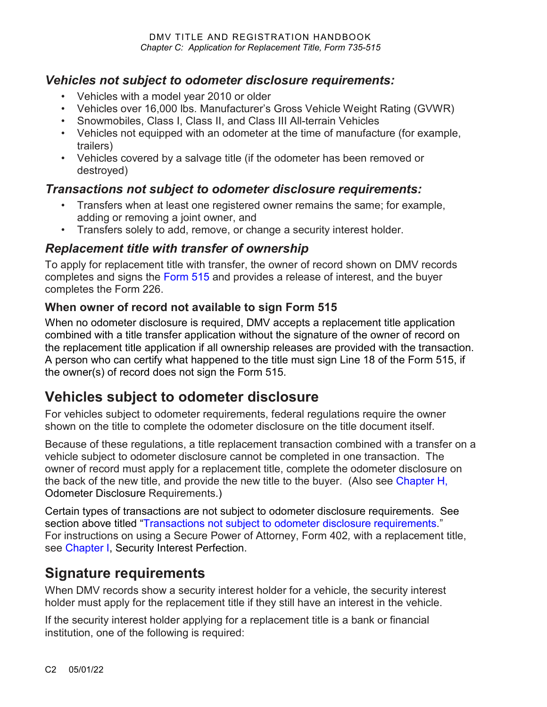### <span id="page-1-0"></span>*Vehicles not subject to odometer disclosure requirements:*

- Vehicles with a model year 2010 or older
- Vehicles over 16,000 lbs. Manufacturer's Gross Vehicle Weight Rating (GVWR)
- Snowmobiles, Class I, Class II, and Class III All-terrain Vehicles
- Vehicles not equipped with an odometer at the time of manufacture (for example, trailers)
- Vehicles covered by a salvage title (if the odometer has been removed or destroyed)

### <span id="page-1-1"></span>*Transactions not subject to odometer disclosure requirements:*

- Transfers when at least one registered owner remains the same; for example, adding or removing a joint owner, and
- Transfers solely to add, remove, or change a security interest holder.

### *Replacement title with transfer of ownership*

To apply for replacement title with transfer, the owner of record shown on DMV records completes and signs the [Form 515](https://www.odot.state.or.us/forms/dmv/515fill.pdf) and provides a release of interest, and the buyer completes the [Form 226.](https://www.odot.state.or.us/forms/dmv/226fill.pdf)

### **When owner of record not available to sign Form 515**

When no odometer disclosure is required, DMV accepts a replacement title application combined with a title transfer application without the signature of the owner of record on the replacement title application if all ownership releases are provided with the transaction. A person who can certify what happened to the title must sign Line 18 of the Form 515, if the owner(s) of record does not sign the Form 515.

## **Vehicles subject to odometer disclosure**

For vehicles subject to odometer requirements, federal regulations require the owner shown on the title to complete the odometer disclosure on the title document itself.

Because of these regulations, a title replacement transaction combined with a transfer on a vehicle subject to odometer disclosure cannot be completed in one transaction. The owner of record must apply for a replacement title, complete the odometer disclosure on the back of the new title, and provide the new title to the buyer. (Also see [Chapter H,](https://www.oregon.gov/ODOT/DMV/docs/VTRH/Chapter_H.pdf) Odometer Disclosure Requirements.)

Certain types of transactions are not subject to odometer disclosure requirements. See section above titled ["Transactions not subject to odometer disclosure requirements.](#page-1-1)" For instructions on using a Secure Power of Attorney, Form 402*,* with a replacement title, see [Chapter I,](https://www.oregon.gov/ODOT/DMV/docs/VTRH/Chapter_I.pdf) Security Interest Perfection.

## <span id="page-1-2"></span>**Signature requirements**

When DMV records show a security interest holder for a vehicle, the security interest holder must apply for the replacement title if they still have an interest in the vehicle.

If the security interest holder applying for a replacement title is a bank or financial institution, one of the following is required: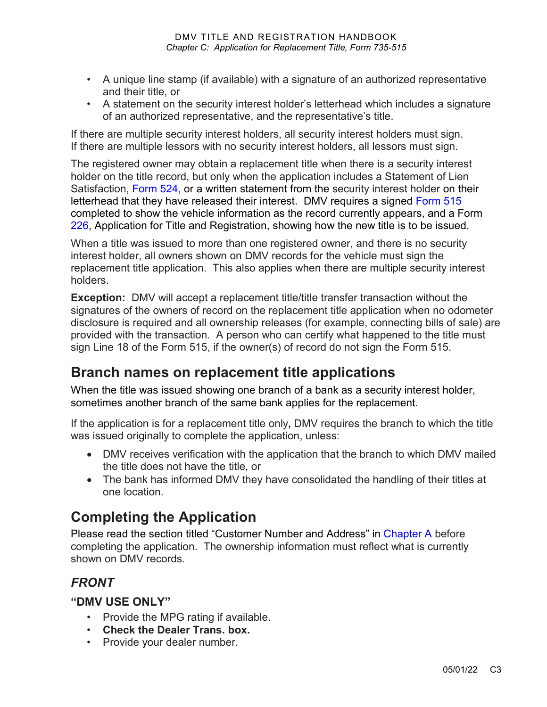- A unique line stamp (if available) with a signature of an authorized representative and their title, or
- A statement on the security interest holder's letterhead which includes a signature of an authorized representative, and the representative's title.

If there are multiple security interest holders, all security interest holders must sign. If there are multiple lessors with no security interest holders, all lessors must sign.

The registered owner may obtain a replacement title when there is a security interest holder on the title record, but only when the application includes a Statement of Lien Satisfaction, [Form 524,](https://www.odot.state.or.us/forms/dmv/524fill.pdf) or a written statement from the security interest holder on their letterhead that they have released their interest. DMV requires a signed [Form 515](https://www.odot.state.or.us/forms/dmv/515fill.pdf) completed to show the vehicle information as the record currently appears, and a Form [226,](https://www.odot.state.or.us/forms/dmv/226fill.pdf) Application for Title and Registration, showing how the new title is to be issued.

When a title was issued to more than one registered owner, and there is no security interest holder, all owners shown on DMV records for the vehicle must sign the replacement title application. This also applies when there are multiple security interest holders.

**Exception:** DMV will accept a replacement title/title transfer transaction without the signatures of the owners of record on the replacement title application when no odometer disclosure is required and all ownership releases (for example, connecting bills of sale) are provided with the transaction. A person who can certify what happened to the title must sign Line 18 of the Form 515, if the owner(s) of record do not sign the Form 515.

## **Branch names on replacement title applications**

When the title was issued showing one branch of a bank as a security interest holder, sometimes another branch of the same bank applies for the replacement.

If the application is for a replacement title only**,** DMV requires the branch to which the title was issued originally to complete the application, unless:

- DMV receives verification with the application that the branch to which DMV mailed the title does not have the title, or
- The bank has informed DMV they have consolidated the handling of their titles at one location.

## **Completing the Application**

Please read the section titled "Customer Number and Address" in [Chapter A](https://www.oregon.gov/ODOT/DMV/docs/VTRH/Chapter_A.pdf) before completing the application. The ownership information must reflect what is currently shown on DMV records.

### *FRONT*

#### **"DMV USE ONLY"**

- Provide the MPG rating if available.
- **Check the Dealer Trans. box.**
- Provide your dealer number.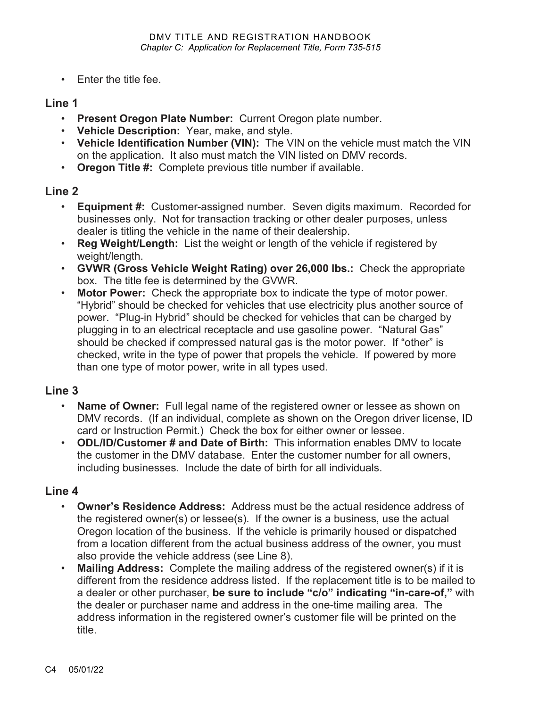• Enter the title fee.

#### **Line 1**

- **Present Oregon Plate Number:** Current Oregon plate number.
- **Vehicle Description:** Year, make, and style.
- **Vehicle Identification Number (VIN):** The VIN on the vehicle must match the VIN on the application. It also must match the VIN listed on DMV records.
- **Oregon Title #:** Complete previous title number if available.

#### **Line 2**

- **Equipment #:** Customer-assigned number. Seven digits maximum. Recorded for businesses only. Not for transaction tracking or other dealer purposes, unless dealer is titling the vehicle in the name of their dealership.
- **Reg Weight/Length:** List the weight or length of the vehicle if registered by weight/length.
- **GVWR (Gross Vehicle Weight Rating) over 26,000 lbs.:** Check the appropriate box. The title fee is determined by the GVWR.
- **Motor Power:** Check the appropriate box to indicate the type of motor power. "Hybrid" should be checked for vehicles that use electricity plus another source of power. "Plug-in Hybrid" should be checked for vehicles that can be charged by plugging in to an electrical receptacle and use gasoline power. "Natural Gas" should be checked if compressed natural gas is the motor power. If "other" is checked, write in the type of power that propels the vehicle. If powered by more than one type of motor power, write in all types used.

### **Line 3**

- **Name of Owner:** Full legal name of the registered owner or lessee as shown on DMV records. (If an individual, complete as shown on the Oregon driver license, ID card or Instruction Permit.) Check the box for either owner or lessee.
- **ODL/ID/Customer # and Date of Birth:** This information enables DMV to locate the customer in the DMV database. Enter the customer number for all owners, including businesses. Include the date of birth for all individuals.

#### **Line 4**

- **Owner's Residence Address:** Address must be the actual residence address of the registered owner(s) or lessee(s). If the owner is a business, use the actual Oregon location of the business. If the vehicle is primarily housed or dispatched from a location different from the actual business address of the owner, you must also provide the vehicle address (see Line 8).
- **Mailing Address:** Complete the mailing address of the registered owner(s) if it is different from the residence address listed. If the replacement title is to be mailed to a dealer or other purchaser, **be sure to include "c/o" indicating "in-care-of,"** with the dealer or purchaser name and address in the one-time mailing area. The address information in the registered owner's customer file will be printed on the title.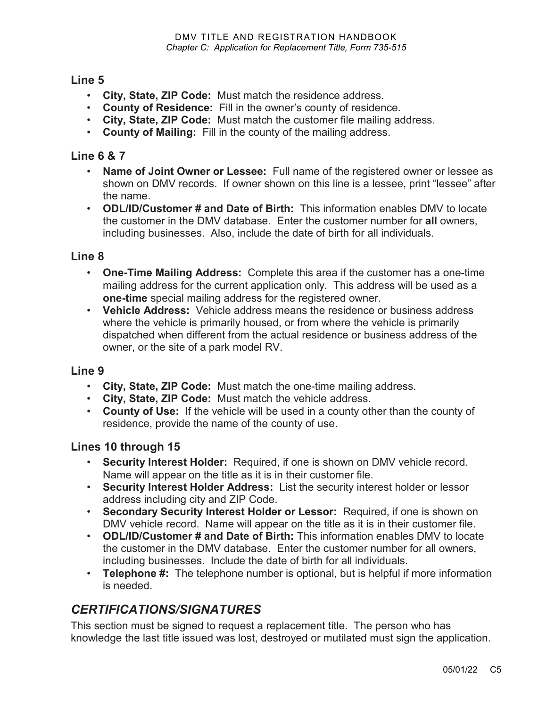### **Line 5**

- **City, State, ZIP Code:** Must match the residence address.
- **County of Residence:** Fill in the owner's county of residence.
- **City, State, ZIP Code:** Must match the customer file mailing address.
- **County of Mailing:** Fill in the county of the mailing address.

#### **Line 6 & 7**

- **Name of Joint Owner or Lessee:** Full name of the registered owner or lessee as shown on DMV records. If owner shown on this line is a lessee, print "lessee" after the name.
- **ODL/ID/Customer # and Date of Birth:** This information enables DMV to locate the customer in the DMV database. Enter the customer number for **all** owners, including businesses. Also, include the date of birth for all individuals.

#### **Line 8**

- **One-Time Mailing Address:** Complete this area if the customer has a one-time mailing address for the current application only. This address will be used as a **one-time** special mailing address for the registered owner.
- **Vehicle Address:** Vehicle address means the residence or business address where the vehicle is primarily housed, or from where the vehicle is primarily dispatched when different from the actual residence or business address of the owner, or the site of a park model RV.

#### **Line 9**

- **City, State, ZIP Code:** Must match the one-time mailing address.
- **City, State, ZIP Code:** Must match the vehicle address.
- **County of Use:** If the vehicle will be used in a county other than the county of residence, provide the name of the county of use.

#### **Lines 10 through 15**

- **Security Interest Holder:** Required, if one is shown on DMV vehicle record. Name will appear on the title as it is in their customer file.
- **Security Interest Holder Address:** List the security interest holder or lessor address including city and ZIP Code.
- **Secondary Security Interest Holder or Lessor:** Required, if one is shown on DMV vehicle record. Name will appear on the title as it is in their customer file.
- **ODL/ID/Customer # and Date of Birth:** This information enables DMV to locate the customer in the DMV database. Enter the customer number for all owners, including businesses. Include the date of birth for all individuals.
- **Telephone #:** The telephone number is optional, but is helpful if more information is needed.

### *CERTIFICATIONS/SIGNATURES*

This section must be signed to request a replacement title. The person who has knowledge the last title issued was lost, destroyed or mutilated must sign the application.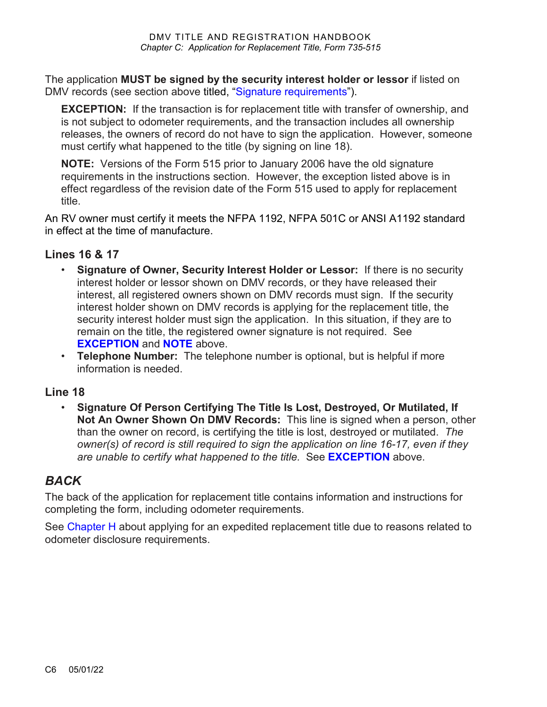The application **MUST be signed by the security interest holder or lessor** if listed on DMV records (see section above titled, ["Signature requirements"](#page-1-2)).

<span id="page-5-0"></span>**EXCEPTION:** If the transaction is for replacement title with transfer of ownership, and is not subject to odometer requirements, and the transaction includes all ownership releases, the owners of record do not have to sign the application. However, someone must certify what happened to the title (by signing on line 18).

<span id="page-5-1"></span>**NOTE:** Versions of the Form 515 prior to January 2006 have the old signature requirements in the instructions section. However, the exception listed above is in effect regardless of the revision date of the Form 515 used to apply for replacement title.

An RV owner must certify it meets the NFPA 1192, NFPA 501C or ANSI A1192 standard in effect at the time of manufacture.

#### **Lines 16 & 17**

- **Signature of Owner, Security Interest Holder or Lessor:** If there is no security interest holder or lessor shown on DMV records, or they have released their interest, all registered owners shown on DMV records must sign. If the security interest holder shown on DMV records is applying for the replacement title, the security interest holder must sign the application. In this situation, if they are to remain on the title, the registered owner signature is not required. See **[EXCEPTION](#page-5-0)** and **[NOTE](#page-5-1)** above.
- **Telephone Number:** The telephone number is optional, but is helpful if more information is needed.

### **Line 18**

• **Signature Of Person Certifying The Title Is Lost, Destroyed, Or Mutilated, If Not An Owner Shown On DMV Records:** This line is signed when a person, other than the owner on record, is certifying the title is lost, destroyed or mutilated. *The owner(s) of record is still required to sign the application on line 16-17, even if they are unable to certify what happened to the title.* See **[EXCEPTION](#page-5-0)** above.

### *BACK*

The back of the application for replacement title contains information and instructions for completing the form, including odometer requirements.

See [Chapter H](https://www.oregon.gov/ODOT/DMV/docs/VTRH/Chapter_H.pdf) about applying for an expedited replacement title due to reasons related to odometer disclosure requirements.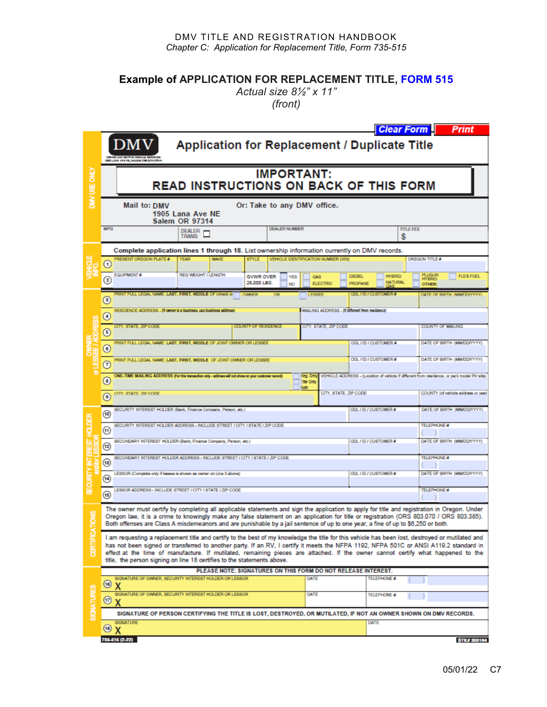#### DMV TITLE AND REGISTRATION HANDBOOK *Chapter C: Application for Replacement Title, Form 735-515*

**Example of APPLICATION FOR REPLACEMENT TITLE, [FORM 515](https://www.odot.state.or.us/forms/dmv/515fill.pdf)**

*Actual size 8½" x 11" (front)*

|                 | <b>Clear Form</b><br><b>Print</b>                                                                                                                                                                                                                                                                                                                                                                                                                                                                        |                               |                                                     |                                                                  |                                 |                                                        |
|-----------------|----------------------------------------------------------------------------------------------------------------------------------------------------------------------------------------------------------------------------------------------------------------------------------------------------------------------------------------------------------------------------------------------------------------------------------------------------------------------------------------------------------|-------------------------------|-----------------------------------------------------|------------------------------------------------------------------|---------------------------------|--------------------------------------------------------|
| DMV USE ONLY    | Application for Replacement / Duplicate Title                                                                                                                                                                                                                                                                                                                                                                                                                                                            |                               |                                                     |                                                                  |                                 |                                                        |
|                 | <b>IMPORTANT:</b><br>READ INSTRUCTIONS ON BACK OF THIS FORM                                                                                                                                                                                                                                                                                                                                                                                                                                              |                               |                                                     |                                                                  |                                 |                                                        |
|                 | Or: Take to any DMV office.<br>Mail to: DMV<br>1905 Lana Ave NE<br><b>Salem OR 97314</b>                                                                                                                                                                                                                                                                                                                                                                                                                 |                               |                                                     |                                                                  |                                 |                                                        |
|                 | <b>MPG</b>                                                                                                                                                                                                                                                                                                                                                                                                                                                                                               | DEALER <sub>F</sub><br>TRANS: | <b>DEALER NUMBER</b>                                |                                                                  | <b>TITLE FEE</b><br>s           |                                                        |
|                 | Complete application lines 1 through 18. List ownership information currently on DMV records.                                                                                                                                                                                                                                                                                                                                                                                                            |                               |                                                     |                                                                  |                                 |                                                        |
|                 | <b>PRESENT OREGON PLATE #</b><br><b>YEAR</b><br>$_{\tiny \odot}$                                                                                                                                                                                                                                                                                                                                                                                                                                         | <b>MAKE</b>                   | <b>STYLE</b>                                        | VEHICLE IDENTIFICATION NUMBER (VIN)                              |                                 | OREGON TITLE #                                         |
|                 | EQUIPMENT #<br>☺                                                                                                                                                                                                                                                                                                                                                                                                                                                                                         | <b>REG WEIGHT / LENGTH</b>    | <b>GWWR OVER</b><br><b>YES</b><br>26,000 LBS.<br>NO | <b>DIESEL</b><br><b>GAS</b><br><b>ELECTRIC</b><br><b>PROPANE</b> | <b>HYBRID</b><br><b>NATURAL</b> | PLUG-IN<br><b>FLEX-FUEL</b><br><b>HYBRID</b><br>OTHER: |
|                 | RINT FULL LEGAL NAME: LAST, FIRST, MIDDLE OF (check or<br>$_{\tiny \copyright}$                                                                                                                                                                                                                                                                                                                                                                                                                          | <b>WAIFF</b>                  |                                                     | <b>LESSER</b>                                                    | <b>OMERA</b><br>30L / ID / CUS  | DATE OF BIRTH (MM/DD/YYY                               |
|                 | RESIDENCE ADDRESS - (If owner is a business, use business address)<br>MAILING ADDRESS - If different from residence<br>$\circledcirc$                                                                                                                                                                                                                                                                                                                                                                    |                               |                                                     |                                                                  |                                 |                                                        |
|                 | CITY, STATE, ZIP CODE<br>$\odot$                                                                                                                                                                                                                                                                                                                                                                                                                                                                         |                               | <b>COUNTY OF RESIDENCE</b>                          | CITY, STATE, ZIP CODE                                            |                                 | <b>COUNTY OF MAILING</b>                               |
|                 | PRINT FULL LEGAL NAME: LAST, FIRST, MIDDLE OF JOINT OWNER OR LESSEE<br>$\odot$                                                                                                                                                                                                                                                                                                                                                                                                                           |                               |                                                     |                                                                  | ODL/ID/CUSTOMER#                | DATE OF BIRTH (MM/DD/YYYY)                             |
|                 | PRINT FULL LEGAL NAME: LAST, FIRST, MIDDLE OF JOINT OWNER OR LESSEE<br>$\odot$                                                                                                                                                                                                                                                                                                                                                                                                                           |                               |                                                     |                                                                  | ODL/ID/CUSTOMER#                | DATE OF BIRTH (MM/DD/YYYY)                             |
|                 | ONE-TIME MAILING ADDRESS (For this transaction only - address will not show on your customer record)<br>Reg. Only<br>VEHICLE ADDRESS - (Location of vehicle if different from residence, or park model RV site)<br>$\circ$<br><b>Title Only</b><br><b>Both</b>                                                                                                                                                                                                                                           |                               |                                                     |                                                                  |                                 |                                                        |
|                 | CITY, STATE, ZIP CODE<br>$\circ$                                                                                                                                                                                                                                                                                                                                                                                                                                                                         |                               |                                                     | CITY, STATE, ZIP CODE                                            |                                 | COUNTY (of vehicle address or use)                     |
|                 | SECURITY INTEREST HOLDER (Bank, Finance Company, Person, etc.)<br>$\circledast$                                                                                                                                                                                                                                                                                                                                                                                                                          |                               |                                                     |                                                                  | ODL / ID / CUSTOMER #           | DATE OF BIRTH (MM/DD/YYYY)                             |
|                 | SECURITY INTEREST HOLDER ADDRESS - INCLUDE STREET / CITY / STATE / ZIP CODE<br>$\circledast$                                                                                                                                                                                                                                                                                                                                                                                                             |                               |                                                     |                                                                  |                                 | TELEPHONE #                                            |
|                 | SECONDARY INTEREST HOLDER (Bank, Finance Company, Person, etc.)<br>$\left( 12\right)$                                                                                                                                                                                                                                                                                                                                                                                                                    |                               |                                                     |                                                                  | ODL / ID / CUSTOMER #           | DATE OF BIRTH (MM/DD/YYYY)                             |
|                 | SECONDARY INTEREST HOLDER ADDRESS - INCLUDE STREET / CITY / STATE / ZIP CODE<br>$\left( 13\right)$                                                                                                                                                                                                                                                                                                                                                                                                       |                               |                                                     |                                                                  |                                 | TELEPHONE #                                            |
|                 | LESSOR (Complete only if lessee is shown as owner on Line 3 above)<br>$\bigcirc$                                                                                                                                                                                                                                                                                                                                                                                                                         |                               | ODL / ID / CUSTOMER #                               | DATE OF BIRTH (MMDD/YYYY)                                        |                                 |                                                        |
|                 | LESSOR ADDRESS - INCLUDE STREET / CITY / STATE / ZIP CODE<br>$\sqrt{15}$                                                                                                                                                                                                                                                                                                                                                                                                                                 |                               |                                                     |                                                                  | TELEPHONE #                     |                                                        |
|                 | The owner must certify by completing all applicable statements and sign the application to apply for title and registration in Oregon. Under<br>Oregon law, it is a crime to knowingly make any false statement on an application for title or registration (ORS 803.070 / ORS 803.385).<br>Both offenses are Class A misdemeanors and are punishable by a jail sentence of up to one year, a fine of up to \$6,250 or both.                                                                             |                               |                                                     |                                                                  |                                 |                                                        |
|                 | I am requesting a replacement title and certify to the best of my knowledge the title for this vehicle has been lost, destroyed or mutilated and<br>has not been signed or transferred to another party. If an RV, I certify it meets the NFPA 1192, NFPA 501C or ANSI A119.2 standard in<br>effect at the time of manufacture. If mutilated, remaining pieces are attached. If the owner cannot certify what happened to the<br>title, the person signing on line 18 certifies to the statements above. |                               |                                                     |                                                                  |                                 |                                                        |
| <b>SIGNATUR</b> | PLEASE NOTE: SIGNATURES ON THIS FORM DO NOT RELEASE INTEREST.<br>SIGNATURE OF OWNER, SECURITY INTEREST HOLDER OR LESSOR<br>DATE<br>TELEPHONE #                                                                                                                                                                                                                                                                                                                                                           |                               |                                                     |                                                                  |                                 |                                                        |
|                 | (18)<br>х<br>SIGNATURE OF OWNER, SECURITY INTEREST HOLDER OR LESSOR                                                                                                                                                                                                                                                                                                                                                                                                                                      |                               |                                                     | DATE                                                             |                                 |                                                        |
|                 | $\left( 17\right)$<br>X                                                                                                                                                                                                                                                                                                                                                                                                                                                                                  |                               |                                                     |                                                                  | TELEPHONE #                     |                                                        |
|                 | SIGNATURE OF PERSON CERTIFYING THE TITLE IS LOST, DESTROYED, OR MUTILATED, IF NOT AN OWNER SHOWN ON DMV RECORDS.                                                                                                                                                                                                                                                                                                                                                                                         |                               |                                                     |                                                                  |                                 |                                                        |
|                 | <b>SIGNATURE</b><br>DATE<br>(18)<br>X                                                                                                                                                                                                                                                                                                                                                                                                                                                                    |                               |                                                     |                                                                  |                                 |                                                        |
|                 | 735-515 (2-22)                                                                                                                                                                                                                                                                                                                                                                                                                                                                                           |                               |                                                     |                                                                  |                                 | <b>STK# 30016</b>                                      |